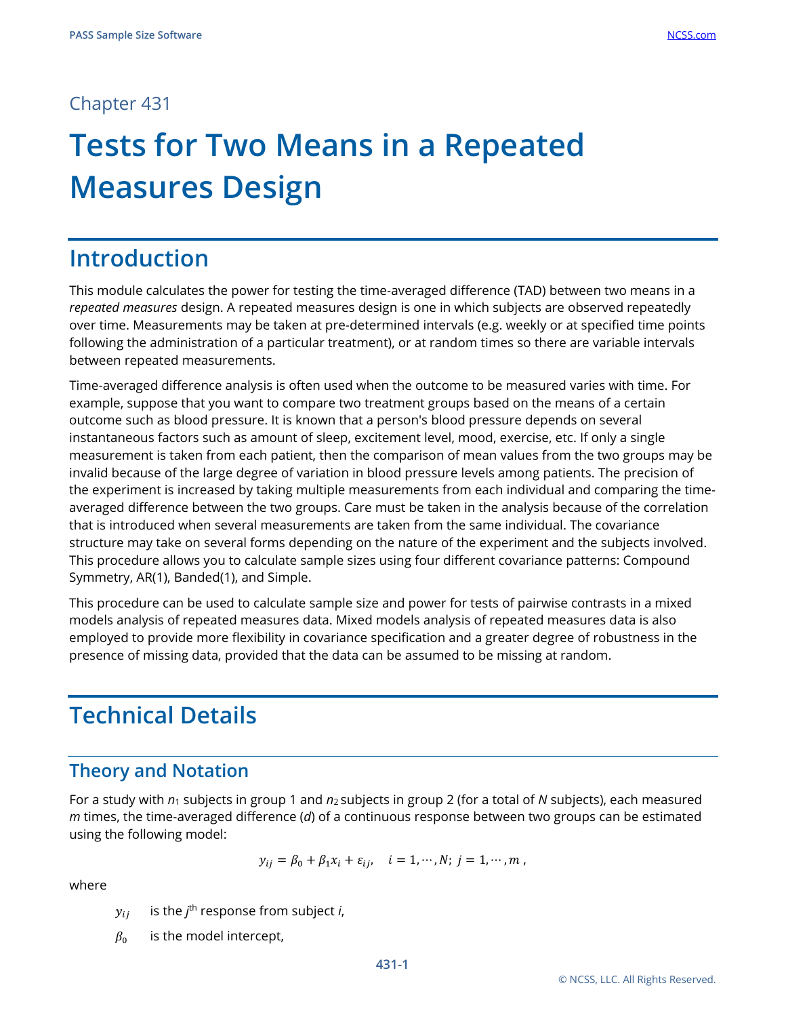### Chapter 431

# **Tests for Two Means in a Repeated Measures Design**

# **Introduction**

This module calculates the power for testing the time-averaged difference (TAD) between two means in a *repeated measures* design. A repeated measures design is one in which subjects are observed repeatedly over time. Measurements may be taken at pre-determined intervals (e.g. weekly or at specified time points following the administration of a particular treatment), or at random times so there are variable intervals between repeated measurements.

Time-averaged difference analysis is often used when the outcome to be measured varies with time. For example, suppose that you want to compare two treatment groups based on the means of a certain outcome such as blood pressure. It is known that a person's blood pressure depends on several instantaneous factors such as amount of sleep, excitement level, mood, exercise, etc. If only a single measurement is taken from each patient, then the comparison of mean values from the two groups may be invalid because of the large degree of variation in blood pressure levels among patients. The precision of the experiment is increased by taking multiple measurements from each individual and comparing the timeaveraged difference between the two groups. Care must be taken in the analysis because of the correlation that is introduced when several measurements are taken from the same individual. The covariance structure may take on several forms depending on the nature of the experiment and the subjects involved. This procedure allows you to calculate sample sizes using four different covariance patterns: Compound Symmetry, AR(1), Banded(1), and Simple.

This procedure can be used to calculate sample size and power for tests of pairwise contrasts in a mixed models analysis of repeated measures data. Mixed models analysis of repeated measures data is also employed to provide more flexibility in covariance specification and a greater degree of robustness in the presence of missing data, provided that the data can be assumed to be missing at random.

# **Technical Details**

## **Theory and Notation**

For a study with *n*<sup>1</sup> subjects in group 1 and *n*2 subjects in group 2 (for a total of *N* subjects), each measured *m* times, the time-averaged difference (*d*) of a continuous response between two groups can be estimated using the following model:

$$
y_{ij}=\beta_0+\beta_1x_i+\varepsilon_{ij},\quad i=1,\cdots,N;\; j=1,\cdots,m\;,
$$

where

- $y_{ij}$  is the  $j^{\text{th}}$  response from subject *i*,
- $\beta_0$  is the model intercept,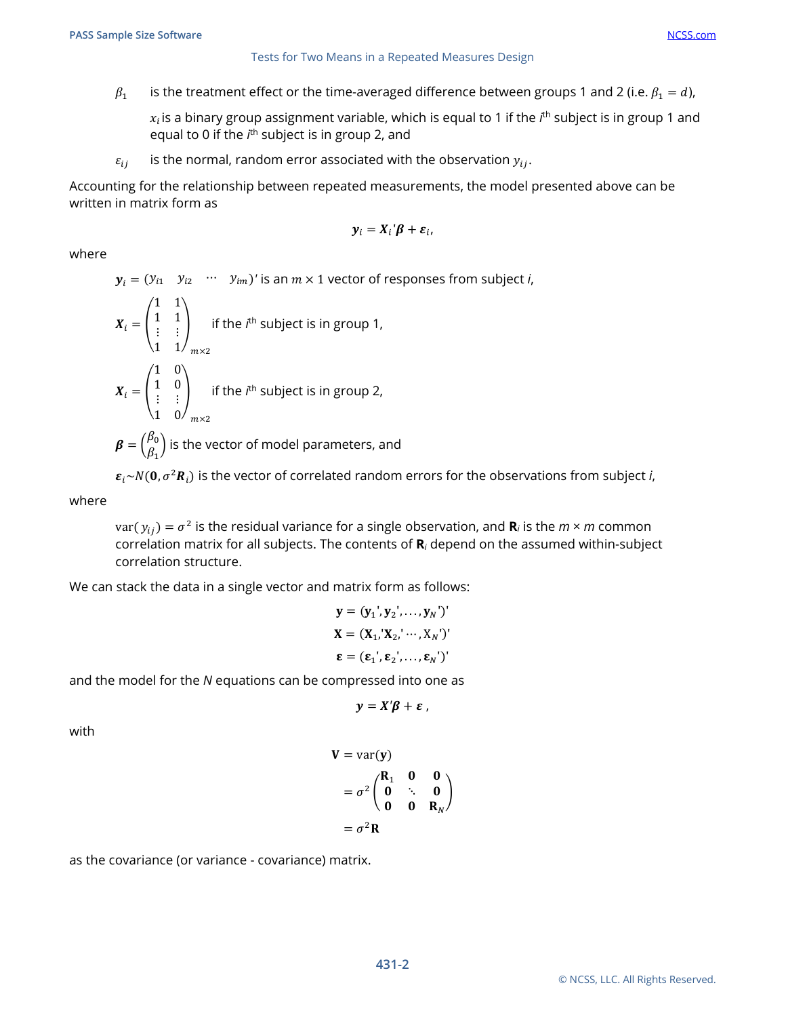$\beta_1$  is the treatment effect or the time-averaged difference between groups 1 and 2 (i.e.  $\beta_1 = d$ ),

 $x_i$ is a binary group assignment variable, which is equal to 1 if the *i*<sup>th</sup> subject is in group 1 and equal to 0 if the *i*<sup>th</sup> subject is in group 2, and

 $\varepsilon_{ii}$  is the normal, random error associated with the observation  $y_{ii}$ .

Accounting for the relationship between repeated measurements, the model presented above can be written in matrix form as

$$
\mathbf{y}_i = \mathbf{X}_i \mathbf{\beta} + \mathbf{\varepsilon}_i,
$$

where

 $y_i = (y_{i1} \quad y_{i2} \quad \cdots \quad y_{im})'$  is an  $m \times 1$  vector of responses from subject *i*,  $\mathcal{L} = \mathcal{L}$ 

$$
\mathbf{X}_{i} = \begin{pmatrix} 1 & 1 \\ 1 & 1 \\ \vdots & \vdots \\ 1 & 1 \end{pmatrix}_{m \times 2}
$$
 if the *i*<sup>th</sup> subject is in group 1,  
\n
$$
\mathbf{X}_{i} = \begin{pmatrix} 1 & 0 \\ 1 & 0 \\ \vdots & \vdots \\ 1 & 0 \end{pmatrix}_{m \times 2}
$$
 if the *i*<sup>th</sup> subject is in group 2,  
\n
$$
\boldsymbol{\beta} = \begin{pmatrix} \beta_{0} \\ \beta_{1} \end{pmatrix}
$$
 is the vector of model parameters, and

 $\epsilon_i \sim N(0, \sigma^2 R_i)$  is the vector of correlated random errors for the observations from subject *i*,

where

 $var(y_{ii}) = \sigma^2$  is the residual variance for a single observation, and **R**<sub>*i*</sub> is the *m* × *m* common correlation matrix for all subjects. The contents of **R***<sup>i</sup>* depend on the assumed within-subject correlation structure.

We can stack the data in a single vector and matrix form as follows:

$$
\mathbf{y} = (\mathbf{y}_1', \mathbf{y}_2', \dots, \mathbf{y}_N')'
$$
  

$$
\mathbf{X} = (\mathbf{X}_1, \mathbf{X}_2, \dots, \mathbf{X}_N)'
$$
  

$$
\boldsymbol{\epsilon} = (\epsilon_1', \epsilon_2', \dots, \epsilon_N)'
$$

and the model for the *N* equations can be compressed into one as

$$
y=X'\beta+\varepsilon,
$$

with

$$
\mathbf{V} = \text{var}(\mathbf{y})
$$
  
=  $\sigma^2 \begin{pmatrix} \mathbf{R}_1 & \mathbf{0} & \mathbf{0} \\ \mathbf{0} & \ddots & \mathbf{0} \\ \mathbf{0} & \mathbf{0} & \mathbf{R}_N \end{pmatrix}$   
=  $\sigma^2 \mathbf{R}$ 

as the covariance (or variance - covariance) matrix.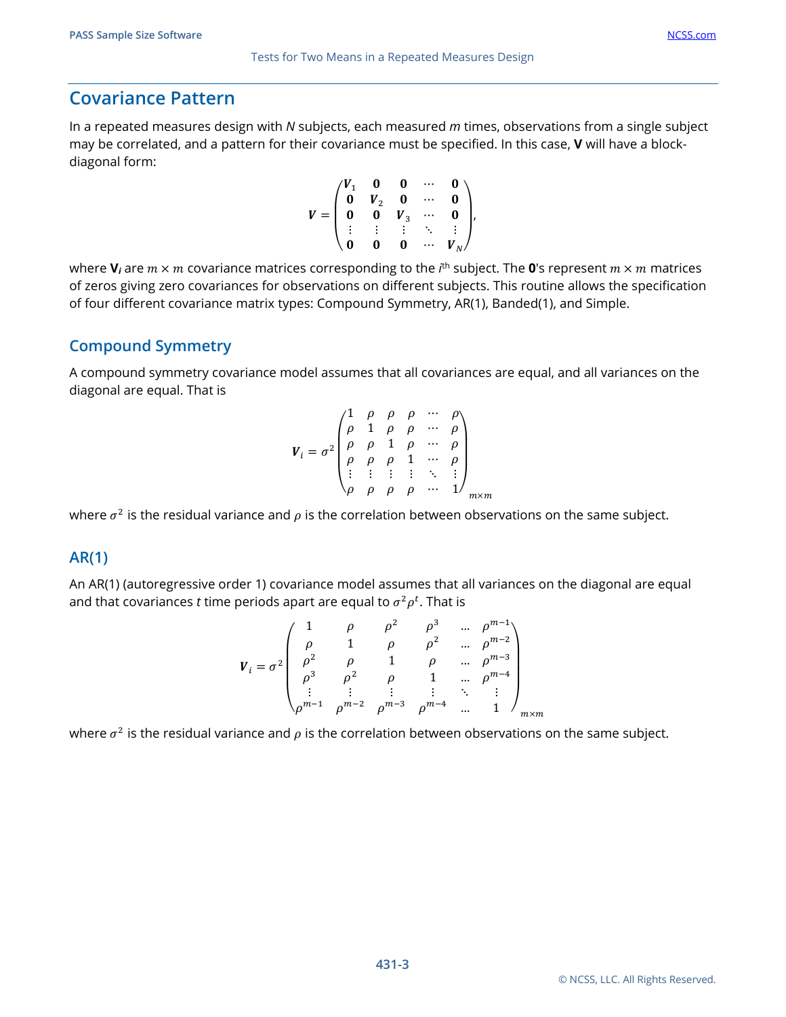In a repeated measures design with *N* subjects, each measured *m* times, observations from a single subject may be correlated, and a pattern for their covariance must be specified. In this case, **V** will have a blockdiagonal form:

$$
V = \begin{pmatrix} V_1 & 0 & 0 & \cdots & 0 \\ 0 & V_2 & 0 & \cdots & 0 \\ 0 & 0 & V_3 & \cdots & 0 \\ \vdots & \vdots & \vdots & \ddots & \vdots \\ 0 & 0 & 0 & \cdots & V_N \end{pmatrix},
$$

where  $\mathbf{V}_i$  are  $m \times m$  covariance matrices corresponding to the  $i^{\text{th}}$  subject. The  $\mathbf{0}$ 's represent  $m \times m$  matrices of zeros giving zero covariances for observations on different subjects. This routine allows the specification of four different covariance matrix types: Compound Symmetry, AR(1), Banded(1), and Simple.

#### **Compound Symmetry**

A compound symmetry covariance model assumes that all covariances are equal, and all variances on the diagonal are equal. That is

$$
V_{i} = \sigma^{2} \begin{pmatrix} 1 & \rho & \rho & \rho & \cdots & \rho \\ \rho & 1 & \rho & \rho & \cdots & \rho \\ \rho & \rho & 1 & \rho & \cdots & \rho \\ \rho & \rho & \rho & 1 & \cdots & \rho \\ \vdots & \vdots & \vdots & \vdots & \ddots & \vdots \\ \rho & \rho & \rho & \rho & \cdots & 1 \end{pmatrix}_{m \times n}
$$

where  $\sigma^2$  is the residual variance and  $\rho$  is the correlation between observations on the same subject.

#### **AR(1)**

An AR(1) (autoregressive order 1) covariance model assumes that all variances on the diagonal are equal and that covariances  $t$  time periods apart are equal to  $\sigma^2\rho^t.$  That is

$$
V_{i} = \sigma^{2} \begin{pmatrix} 1 & \rho & \rho^{2} & \rho^{3} & \dots & \rho^{m-1} \\ \rho & 1 & \rho & \rho^{2} & \dots & \rho^{m-2} \\ \rho^{2} & \rho & 1 & \rho & \dots & \rho^{m-3} \\ \rho^{3} & \rho^{2} & \rho & 1 & \dots & \rho^{m-4} \\ \vdots & \vdots & \vdots & \vdots & \ddots & \vdots \\ \rho^{m-1} & \rho^{m-2} & \rho^{m-3} & \rho^{m-4} & \dots & 1 \end{pmatrix}_{m \times m}
$$

where  $\sigma^2$  is the residual variance and  $\rho$  is the correlation between observations on the same subject.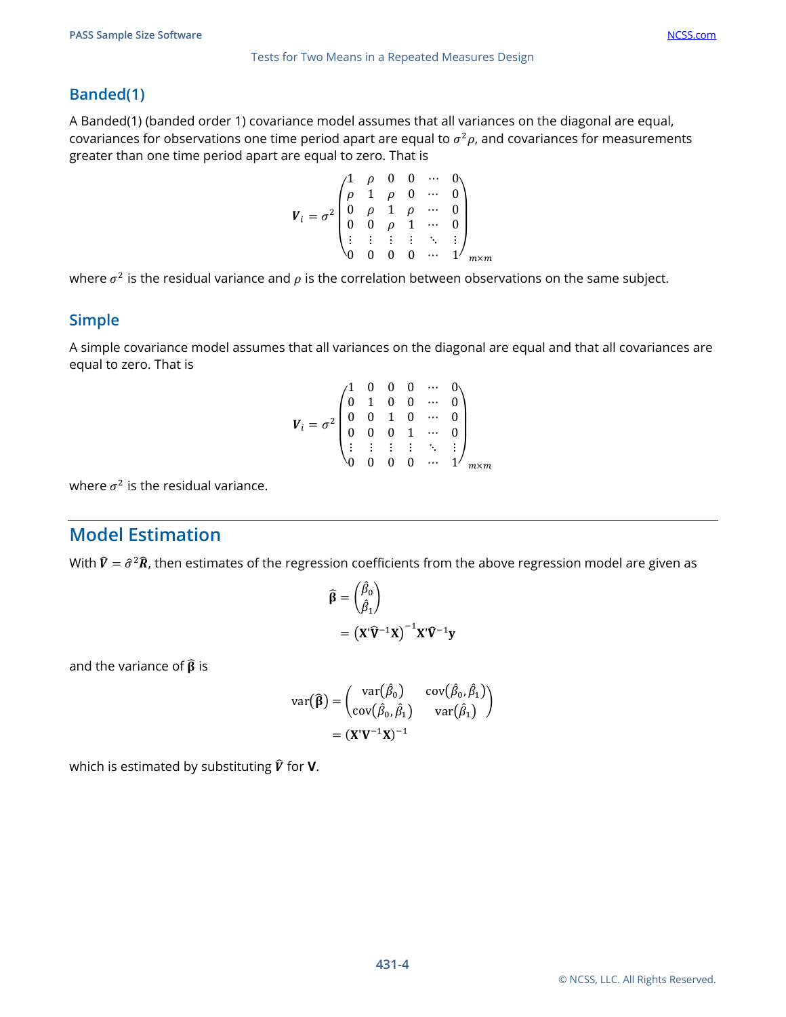#### **Banded(1)**

A Banded(1) (banded order 1) covariance model assumes that all variances on the diagonal are equal, covariances for observations one time period apart are equal to  $\sigma^2 \rho$ , and covariances for measurements greater than one time period apart are equal to zero. That is

$$
\boldsymbol{V}_{i} = \sigma^{2} \begin{pmatrix} 1 & \rho & 0 & 0 & \cdots & 0 \\ \rho & 1 & \rho & 0 & \cdots & 0 \\ 0 & \rho & 1 & \rho & \cdots & 0 \\ 0 & 0 & \rho & 1 & \cdots & 0 \\ \vdots & \vdots & \vdots & \vdots & \ddots & \vdots \\ 0 & 0 & 0 & 0 & \cdots & 1 \end{pmatrix}_{m \times m}
$$

where  $\sigma^2$  is the residual variance and  $\rho$  is the correlation between observations on the same subject.

#### **Simple**

A simple covariance model assumes that all variances on the diagonal are equal and that all covariances are equal to zero. That is

$$
V_{i} = \sigma^{2} \begin{pmatrix} 1 & 0 & 0 & 0 & \cdots & 0 \\ 0 & 1 & 0 & 0 & \cdots & 0 \\ 0 & 0 & 1 & 0 & \cdots & 0 \\ 0 & 0 & 0 & 1 & \cdots & 0 \\ \vdots & \vdots & \vdots & \vdots & \ddots & \vdots \\ 0 & 0 & 0 & 0 & \cdots & 1 \end{pmatrix}_{m \times m}
$$

where  $\sigma^2$  is the residual variance.

## **Model Estimation**

With  $\hat{V} = \hat{\sigma}^2 \hat{R}$ , then estimates of the regression coefficients from the above regression model are given as

$$
\widehat{\beta} = {\beta_0 \choose \beta_1}
$$
  
=  $(\mathbf{X}^{\dagger} \widehat{\mathbf{V}}^{-1} \mathbf{X})^{-1} \mathbf{X}^{\dagger} \widehat{\mathbf{V}}^{-1} \mathbf{y}$ 

and the variance of  $\widehat{\beta}$  is

$$
\operatorname{var}(\widehat{\boldsymbol{\beta}}) = \begin{pmatrix} \operatorname{var}(\widehat{\beta}_0) & \operatorname{cov}(\widehat{\beta}_0, \widehat{\beta}_1) \\ \operatorname{cov}(\widehat{\beta}_0, \widehat{\beta}_1) & \operatorname{var}(\widehat{\beta}_1) \end{pmatrix}
$$

$$
= (\mathbf{X}'\mathbf{V}^{-1}\mathbf{X})^{-1}
$$

which is estimated by substituting  $\hat{V}$  for **V**.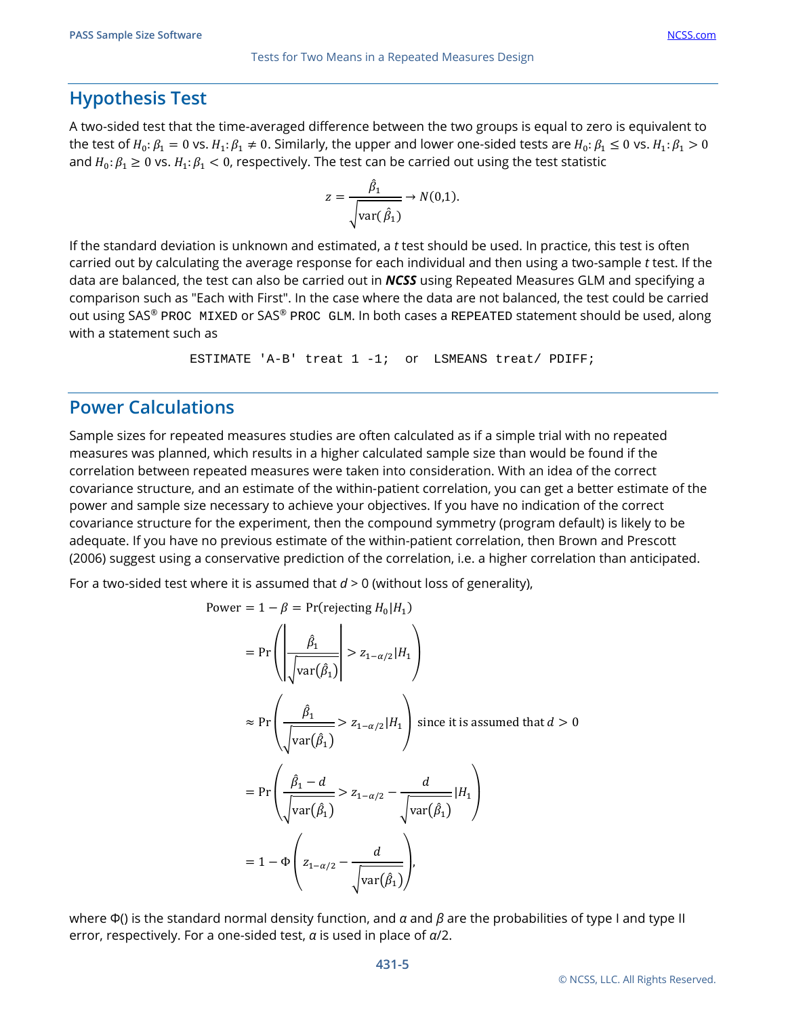#### **Hypothesis Test**

A two-sided test that the time-averaged difference between the two groups is equal to zero is equivalent to the test of  $H_0: \beta_1 = 0$  vs.  $H_1: \beta_1 \neq 0$ . Similarly, the upper and lower one-sided tests are  $H_0: \beta_1 \leq 0$  vs.  $H_1: \beta_1 > 0$ and  $H_0: \beta_1 \geq 0$  vs.  $H_1: \beta_1 < 0$ , respectively. The test can be carried out using the test statistic

$$
z = \frac{\hat{\beta}_1}{\sqrt{\text{var}(\hat{\beta}_1)}} \to N(0,1).
$$

If the standard deviation is unknown and estimated, a *t* test should be used. In practice, this test is often carried out by calculating the average response for each individual and then using a two-sample *t* test. If the data are balanced, the test can also be carried out in *NCSS* using Repeated Measures GLM and specifying a comparison such as "Each with First". In the case where the data are not balanced, the test could be carried out using SAS® PROC MIXED or SAS® PROC GLM. In both cases a REPEATED statement should be used, along with a statement such as

```
ESTIMATE 'A-B' treat 1 -1; or LSMEANS treat/ PDIFF;
```
#### **Power Calculations**

Sample sizes for repeated measures studies are often calculated as if a simple trial with no repeated measures was planned, which results in a higher calculated sample size than would be found if the correlation between repeated measures were taken into consideration. With an idea of the correct covariance structure, and an estimate of the within-patient correlation, you can get a better estimate of the power and sample size necessary to achieve your objectives. If you have no indication of the correct covariance structure for the experiment, then the compound symmetry (program default) is likely to be adequate. If you have no previous estimate of the within-patient correlation, then Brown and Prescott (2006) suggest using a conservative prediction of the correlation, i.e. a higher correlation than anticipated.

For a two-sided test where it is assumed that *d* > 0 (without loss of generality),

Power = 
$$
1 - \beta
$$
 = Pr(rejecting  $H_0|H_1$ )  
\n= Pr $\left(\left|\frac{\hat{\beta}_1}{\sqrt{\text{var}(\hat{\beta}_1)}}\right| > z_{1-\alpha/2}|H_1\right)$   
\n $\approx$  Pr $\left(\frac{\hat{\beta}_1}{\sqrt{\text{var}(\hat{\beta}_1)}} > z_{1-\alpha/2}|H_1\right)$  since it is assumed that  $d > 0$   
\n= Pr $\left(\frac{\hat{\beta}_1 - d}{\sqrt{\text{var}(\hat{\beta}_1)}} > z_{1-\alpha/2} - \frac{d}{\sqrt{\text{var}(\hat{\beta}_1)}}|H_1\right)$   
\n=  $1 - \Phi\left(z_{1-\alpha/2} - \frac{d}{\sqrt{\text{var}(\hat{\beta}_1)}}\right)$ ,

where Φ() is the standard normal density function, and *α* and *β* are the probabilities of type I and type II error, respectively. For a one-sided test, *α* is used in place of *α*/2.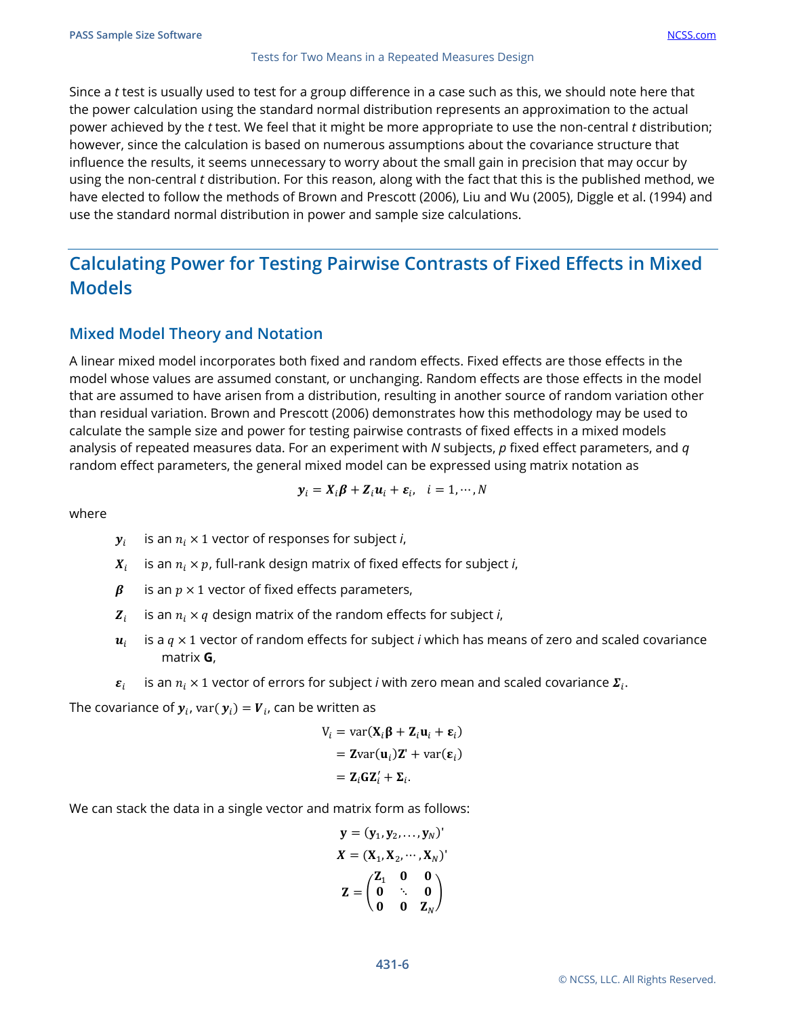Since a *t* test is usually used to test for a group difference in a case such as this, we should note here that the power calculation using the standard normal distribution represents an approximation to the actual power achieved by the *t* test. We feel that it might be more appropriate to use the non-central *t* distribution; however, since the calculation is based on numerous assumptions about the covariance structure that influence the results, it seems unnecessary to worry about the small gain in precision that may occur by using the non-central *t* distribution. For this reason, along with the fact that this is the published method, we have elected to follow the methods of Brown and Prescott (2006), Liu and Wu (2005), Diggle et al. (1994) and use the standard normal distribution in power and sample size calculations.

# **Calculating Power for Testing Pairwise Contrasts of Fixed Effects in Mixed Models**

#### **Mixed Model Theory and Notation**

A linear mixed model incorporates both fixed and random effects. Fixed effects are those effects in the model whose values are assumed constant, or unchanging. Random effects are those effects in the model that are assumed to have arisen from a distribution, resulting in another source of random variation other than residual variation. Brown and Prescott (2006) demonstrates how this methodology may be used to calculate the sample size and power for testing pairwise contrasts of fixed effects in a mixed models analysis of repeated measures data. For an experiment with *N* subjects, *p* fixed effect parameters, and *q* random effect parameters, the general mixed model can be expressed using matrix notation as

$$
\boldsymbol{y}_i = \boldsymbol{X}_i \boldsymbol{\beta} + \boldsymbol{Z}_i \boldsymbol{u}_i + \boldsymbol{\varepsilon}_i, \quad i = 1, \cdots, N
$$

where

- $y_i$  is an  $n_i \times 1$  vector of responses for subject *i*,
- $X_i$  is an  $n_i \times p$ , full-rank design matrix of fixed effects for subject *i*,
- $\beta$  is an  $p \times 1$  vector of fixed effects parameters,
- $\mathbf{Z}_i$  is an  $n_i \times q$  design matrix of the random effects for subject *i*,
- $u_i$  is a  $q \times 1$  vector of random effects for subject *i* which has means of zero and scaled covariance matrix **G**,
- $\varepsilon_i$  is an  $n_i \times 1$  vector of errors for subject *i* with zero mean and scaled covariance  $\Sigma_i$ .

The covariance of  $y_i$ , var( $y_i$ ) =  $V_i$ , can be written as

$$
V_i = \text{var}(\mathbf{X}_i \mathbf{\beta} + \mathbf{Z}_i \mathbf{u}_i + \mathbf{\varepsilon}_i)
$$
  
= \mathbf{Z} \text{var}(\mathbf{u}\_i) \mathbf{Z}' + \text{var}(\mathbf{\varepsilon}\_i)  
= \mathbf{Z}\_i \mathbf{G} \mathbf{Z}'\_i + \mathbf{\Sigma}\_i.

We can stack the data in a single vector and matrix form as follows:

$$
\mathbf{y} = (\mathbf{y}_1, \mathbf{y}_2, \dots, \mathbf{y}_N)'
$$

$$
X = (\mathbf{X}_1, \mathbf{X}_2, \dots, \mathbf{X}_N)'
$$

$$
\mathbf{Z} = \begin{pmatrix} \mathbf{Z}_1 & \mathbf{0} & \mathbf{0} \\ \mathbf{0} & \ddots & \mathbf{0} \\ \mathbf{0} & \mathbf{0} & \mathbf{Z}_N \end{pmatrix}
$$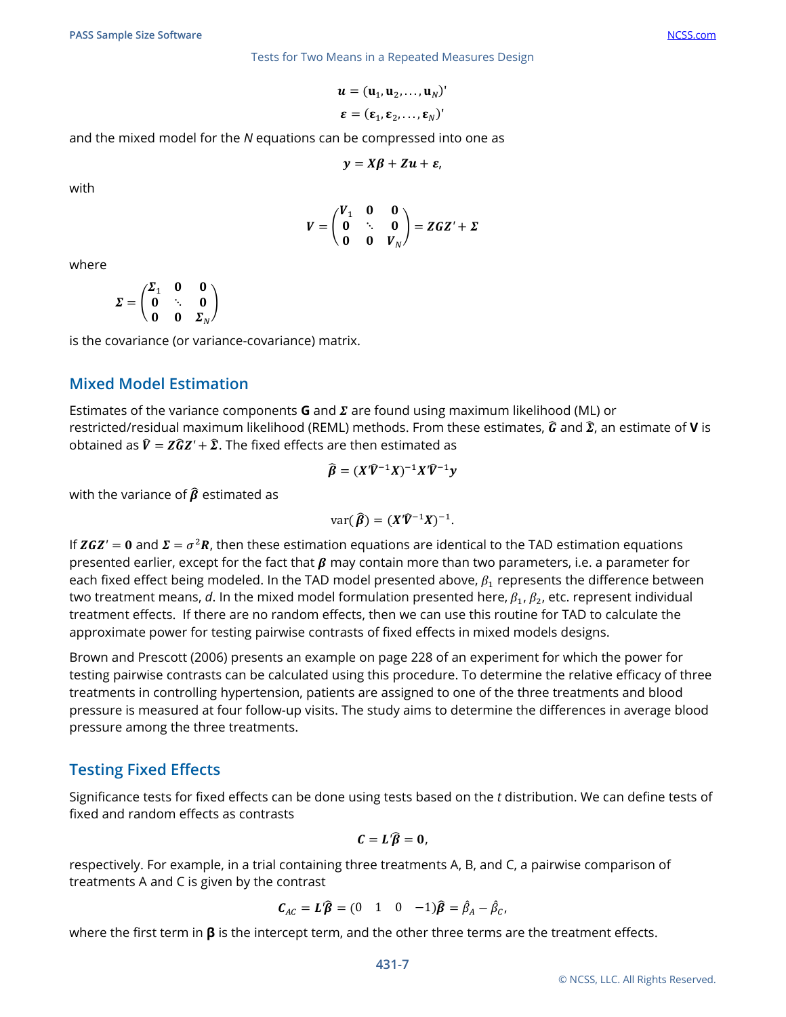$$
\boldsymbol{u} = (\mathbf{u}_1, \mathbf{u}_2, \dots, \mathbf{u}_N)^{\mathsf{T}}
$$

$$
\boldsymbol{\varepsilon} = (\boldsymbol{\varepsilon}_1, \boldsymbol{\varepsilon}_2, \dots, \boldsymbol{\varepsilon}_N)^{\mathsf{T}}
$$

and the mixed model for the *N* equations can be compressed into one as

$$
y = X\beta + Zu + \varepsilon,
$$

with

$$
V = \begin{pmatrix} V_1 & 0 & 0 \\ 0 & \ddots & 0 \\ 0 & 0 & V_N \end{pmatrix} = ZGZ' + \Sigma
$$

where

$$
\Sigma = \begin{pmatrix} \Sigma_1 & 0 & 0 \\ 0 & \ddots & 0 \\ 0 & 0 & \Sigma_N \end{pmatrix}
$$

is the covariance (or variance-covariance) matrix.

#### **Mixed Model Estimation**

Estimates of the variance components **G** and  $\Sigma$  are found using maximum likelihood (ML) or restricted/residual maximum likelihood (REML) methods. From these estimates,  $\hat{G}$  and  $\hat{\Sigma}$ , an estimate of **V** is obtained as  $\hat{V} = Z\hat{G}Z' + \hat{\Sigma}$ . The fixed effects are then estimated as

$$
\widehat{\beta} = (X'\widehat{V}^{-1}X)^{-1}X'\widehat{V}^{-1}y
$$

with the variance of  $\hat{\beta}$  estimated as

$$
\text{var}(\widehat{\boldsymbol{\beta}}) = (X'\widehat{\boldsymbol{V}}^{-1}X)^{-1}.
$$

If  $ZGZ' = 0$  and  $\mathbf{\Sigma} = \sigma^2 \mathbf{R}$ , then these estimation equations are identical to the TAD estimation equations presented earlier, except for the fact that  $\beta$  may contain more than two parameters, i.e. a parameter for each fixed effect being modeled. In the TAD model presented above,  $\beta_1$  represents the difference between two treatment means, *d*. In the mixed model formulation presented here,  $\beta_1$ ,  $\beta_2$ , etc. represent individual treatment effects. If there are no random effects, then we can use this routine for TAD to calculate the approximate power for testing pairwise contrasts of fixed effects in mixed models designs.

Brown and Prescott (2006) presents an example on page 228 of an experiment for which the power for testing pairwise contrasts can be calculated using this procedure. To determine the relative efficacy of three treatments in controlling hypertension, patients are assigned to one of the three treatments and blood pressure is measured at four follow-up visits. The study aims to determine the differences in average blood pressure among the three treatments.

#### **Testing Fixed Effects**

Significance tests for fixed effects can be done using tests based on the *t* distribution. We can define tests of fixed and random effects as contrasts

$$
C=L'\widehat{\beta}=0,
$$

respectively. For example, in a trial containing three treatments A, B, and C, a pairwise comparison of treatments A and C is given by the contrast

$$
\mathbf{C}_{AC} = \mathbf{L}'\widehat{\boldsymbol{\beta}} = (0 \quad 1 \quad 0 \quad -1)\widehat{\boldsymbol{\beta}} = \widehat{\beta}_A - \widehat{\beta}_C,
$$

where the first term in **β** is the intercept term, and the other three terms are the treatment effects.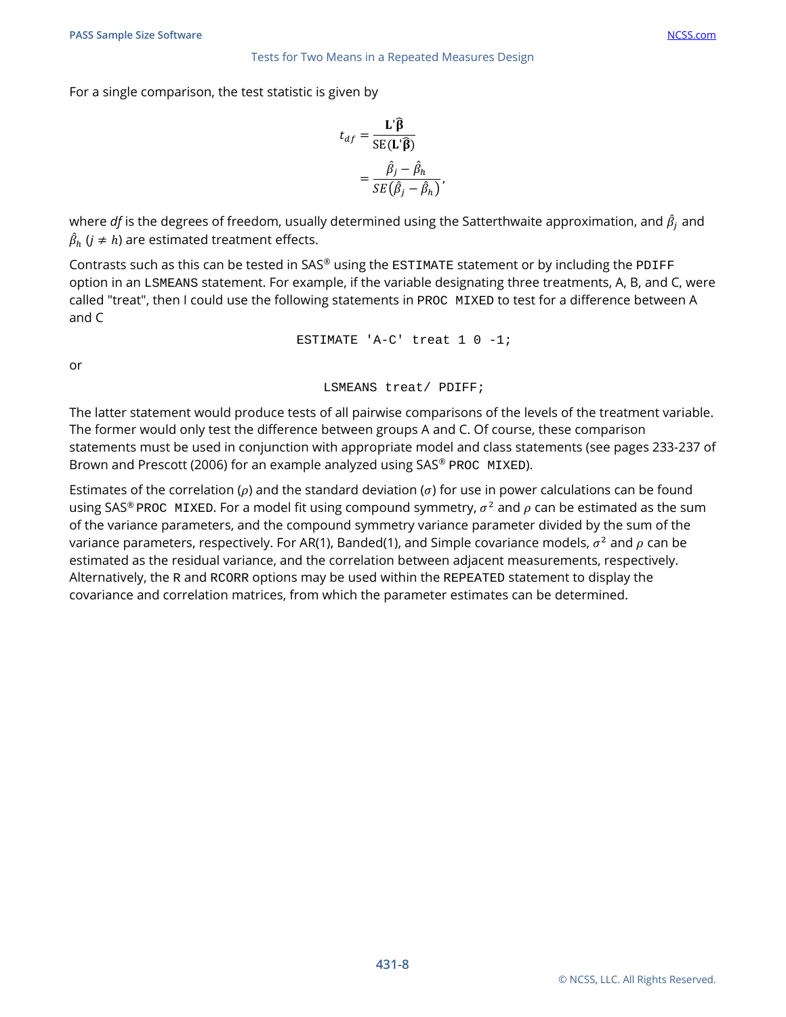For a single comparison, the test statistic is given by

$$
t_{df} = \frac{\mathbf{L}'\hat{\mathbf{\beta}}}{\text{SE}(\mathbf{L}'\hat{\mathbf{\beta}})}
$$

$$
= \frac{\hat{\beta}_j - \hat{\beta}_h}{\text{SE}(\hat{\beta}_j - \hat{\beta}_h)}
$$

,

where *df* is the degrees of freedom, usually determined using the Satterthwaite approximation, and  $\hat{\beta}_i$  and  $\hat{\beta}_h$  ( $j \neq h$ ) are estimated treatment effects.

Contrasts such as this can be tested in SAS® using the  $ESTIMATE$  statement or by including the PDIFF option in an LSMEANS statement. For example, if the variable designating three treatments, A, B, and C, were called "treat", then I could use the following statements in PROC MIXED to test for a difference between A and C

ESTIMATE 'A-C' treat 1 0 -1;

or

LSMEANS treat/ PDIFF;

The latter statement would produce tests of all pairwise comparisons of the levels of the treatment variable. The former would only test the difference between groups A and C. Of course, these comparison statements must be used in conjunction with appropriate model and class statements (see pages 233-237 of Brown and Prescott (2006) for an example analyzed using SAS® PROC MIXED).

Estimates of the correlation ( $\rho$ ) and the standard deviation ( $\sigma$ ) for use in power calculations can be found using SAS® PROC MIXED. For a model fit using compound symmetry,  $\sigma^2$  and  $\rho$  can be estimated as the sum of the variance parameters, and the compound symmetry variance parameter divided by the sum of the variance parameters, respectively. For AR(1), Banded(1), and Simple covariance models,  $\sigma^2$  and  $\rho$  can be estimated as the residual variance, and the correlation between adjacent measurements, respectively. Alternatively, the R and RCORR options may be used within the REPEATED statement to display the covariance and correlation matrices, from which the parameter estimates can be determined.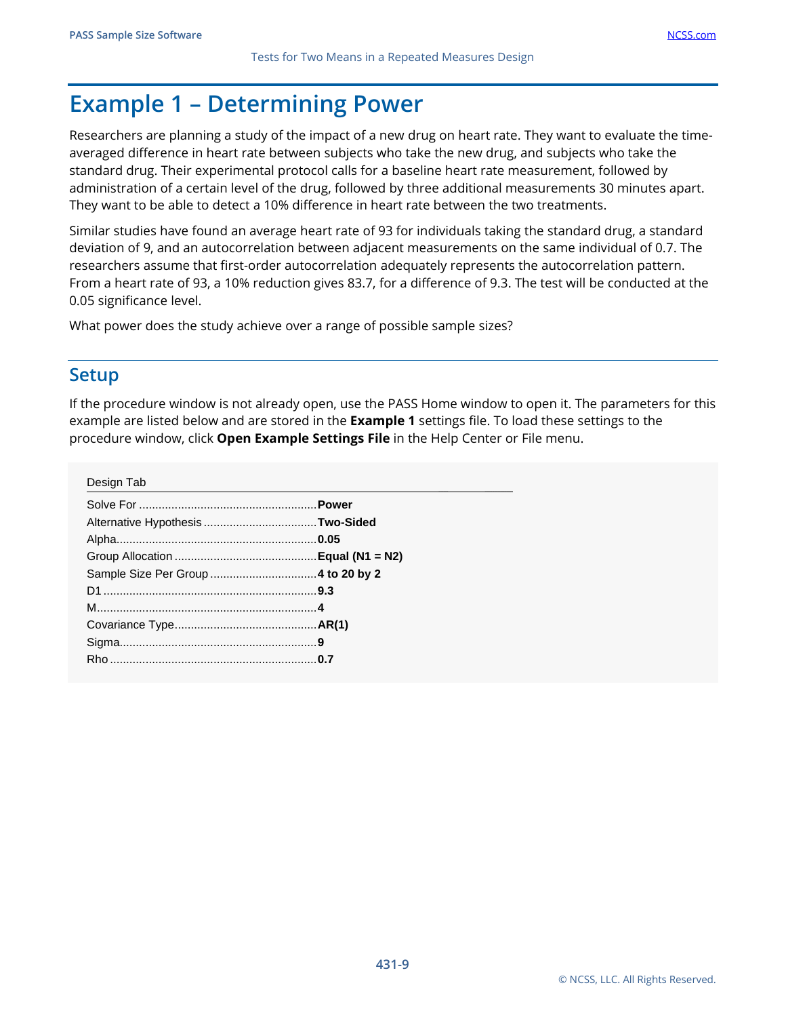# **Example 1 – Determining Power**

Researchers are planning a study of the impact of a new drug on heart rate. They want to evaluate the timeaveraged difference in heart rate between subjects who take the new drug, and subjects who take the standard drug. Their experimental protocol calls for a baseline heart rate measurement, followed by administration of a certain level of the drug, followed by three additional measurements 30 minutes apart. They want to be able to detect a 10% difference in heart rate between the two treatments.

Similar studies have found an average heart rate of 93 for individuals taking the standard drug, a standard deviation of 9, and an autocorrelation between adjacent measurements on the same individual of 0.7. The researchers assume that first-order autocorrelation adequately represents the autocorrelation pattern. From a heart rate of 93, a 10% reduction gives 83.7, for a difference of 9.3. The test will be conducted at the 0.05 significance level.

What power does the study achieve over a range of possible sample sizes?

#### **Setup**

If the procedure window is not already open, use the PASS Home window to open it. The parameters for this example are listed below and are stored in the **Example 1** settings file. To load these settings to the procedure window, click **Open Example Settings File** in the Help Center or File menu.

| Design Tab |  |
|------------|--|
|            |  |
|            |  |
|            |  |
|            |  |
|            |  |
|            |  |
|            |  |
|            |  |
|            |  |
|            |  |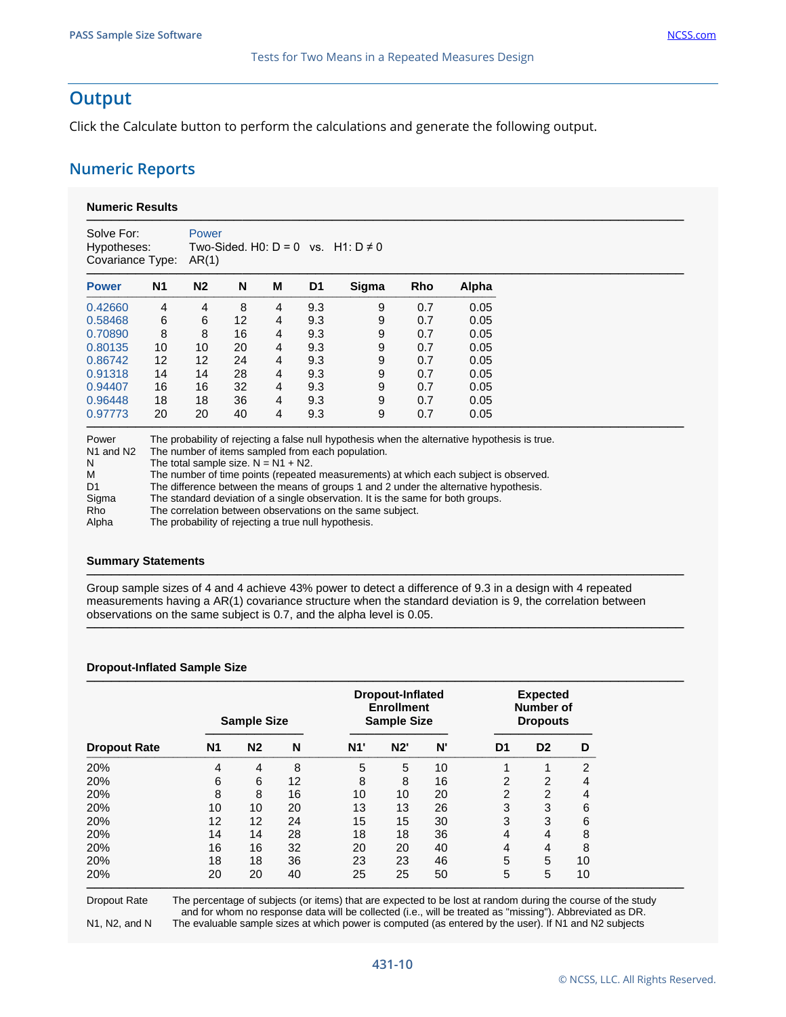#### **Output**

Click the Calculate button to perform the calculations and generate the following output.

#### **Numeric Reports**

| Solve For:<br>Hypotheses:<br>Covariance Type: |                | Power<br>AR(1) |    |                |                | Two-Sided, H0: $D = 0$ vs. H1: $D \neq 0$ |            |       |
|-----------------------------------------------|----------------|----------------|----|----------------|----------------|-------------------------------------------|------------|-------|
| <b>Power</b>                                  | N <sub>1</sub> | N <sub>2</sub> | N  | М              | D <sub>1</sub> | Sigma                                     | <b>Rho</b> | Alpha |
| 0.42660                                       | 4              | 4              | 8  | $\overline{4}$ | 9.3            | 9                                         | 0.7        | 0.05  |
| 0.58468                                       | 6              | 6              | 12 | $\overline{4}$ | 9.3            | 9                                         | 0.7        | 0.05  |
| 0.70890                                       | 8              | 8              | 16 | 4              | 9.3            | 9                                         | 0.7        | 0.05  |
| 0.80135                                       | 10             | 10             | 20 | 4              | 9.3            | 9                                         | 0.7        | 0.05  |
| 0.86742                                       | 12             | 12             | 24 | 4              | 9.3            | 9                                         | 0.7        | 0.05  |
| 0.91318                                       | 14             | 14             | 28 | $\overline{4}$ | 9.3            | 9                                         | 0.7        | 0.05  |
| 0.94407                                       | 16             | 16             | 32 | 4              | 9.3            | 9                                         | 0.7        | 0.05  |
| 0.96448                                       | 18             | 18             | 36 | 4              | 9.3            | 9                                         | 0.7        | 0.05  |
| 0.97773                                       | 20             | 20             | 40 | 4              | 9.3            | 9                                         | 0.7        | 0.05  |

| Power                             | The probability of rejecting a faise null hypothesis when the alternative hypothesis is true. |
|-----------------------------------|-----------------------------------------------------------------------------------------------|
| N <sub>1</sub> and N <sub>2</sub> | The number of items sampled from each population.                                             |
| <sup>N</sup>                      | The total sample size. $N = N1 + N2$ .                                                        |
| M                                 | The number of time points (repeated measurements) at which each subject is observed.          |
| D <sub>1</sub>                    | The difference between the means of groups 1 and 2 under the alternative hypothesis.          |
| Sigma                             | The standard deviation of a single observation. It is the same for both groups.               |
| Rho                               | The correlation between observations on the same subject.                                     |
| Alpha                             | The probability of rejecting a true null hypothesis.                                          |

#### **Summary Statements**

Group sample sizes of 4 and 4 achieve 43% power to detect a difference of 9.3 in a design with 4 repeated measurements having a AR(1) covariance structure when the standard deviation is 9, the correlation between observations on the same subject is 0.7, and the alpha level is 0.05.

─────────────────────────────────────────────────────────────────────────

─────────────────────────────────────────────────────────────────────────

#### **Dropout-Inflated Sample Size**

|                     |                | <b>Sample Size</b> |    |     | <b>Dropout-Inflated</b><br><b>Enrollment</b><br><b>Sample Size</b> | <b>Expected</b><br><b>Number of</b><br><b>Dropouts</b> |                |                |                |
|---------------------|----------------|--------------------|----|-----|--------------------------------------------------------------------|--------------------------------------------------------|----------------|----------------|----------------|
| <b>Dropout Rate</b> | N <sub>1</sub> | N <sub>2</sub>     | N  | N1' | N2'                                                                | N'                                                     | D <sub>1</sub> | D <sub>2</sub> | D              |
| 20%                 | 4              | 4                  | 8  | 5   | 5                                                                  | 10                                                     |                |                | 2              |
| 20%                 | 6              | 6                  | 12 | 8   | 8                                                                  | 16                                                     | 2              | 2              | $\overline{4}$ |
| 20%                 | 8              | 8                  | 16 | 10  | 10                                                                 | 20                                                     | 2              | 2              | 4              |
| 20%                 | 10             | 10                 | 20 | 13  | 13                                                                 | 26                                                     | 3              | 3              | 6              |
| 20%                 | 12             | 12                 | 24 | 15  | 15                                                                 | 30                                                     | 3              | 3              | 6              |
| 20%                 | 14             | 14                 | 28 | 18  | 18                                                                 | 36                                                     | 4              | 4              | 8              |
| 20%                 | 16             | 16                 | 32 | 20  | 20                                                                 | 40                                                     | 4              | 4              | 8              |
| 20%                 | 18             | 18                 | 36 | 23  | 23                                                                 | 46                                                     | 5              | 5              | 10             |
| 20%                 | 20             | 20                 | 40 | 25  | 25                                                                 | 50                                                     | 5              | 5              | 10             |

Dropout Rate The percentage of subjects (or items) that are expected to be lost at random during the course of the study and for whom no response data will be collected (i.e., will be treated as "missing"). Abbreviated as DR. N1, N2, and N The evaluable sample sizes at which power is computed (as entered by the user). If N1 and N2 subjects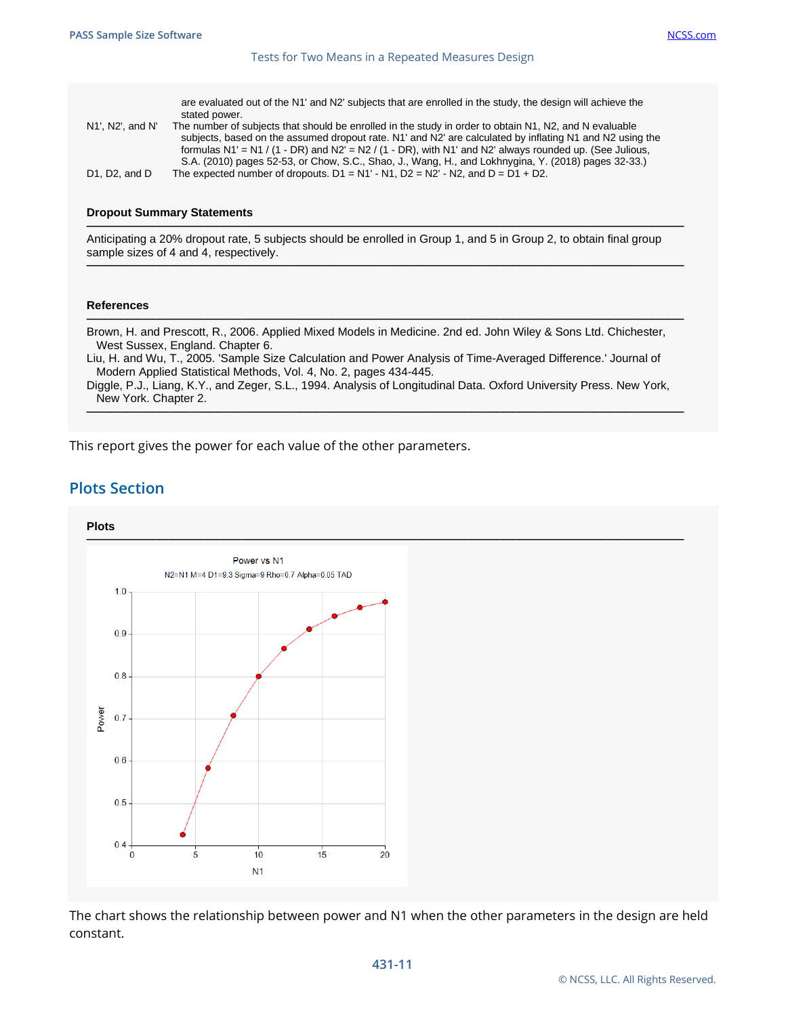are evaluated out of the N1' and N2' subjects that are enrolled in the study, the design will achieve the stated power.

| N1', N2', and N'                          | The number of subjects that should be enrolled in the study in order to obtain N1, N2, and N evaluable       |
|-------------------------------------------|--------------------------------------------------------------------------------------------------------------|
|                                           | subjects, based on the assumed dropout rate. N1' and N2' are calculated by inflating N1 and N2 using the     |
|                                           | formulas $N1' = N1 / (1 - DR)$ and $N2' = N2 / (1 - DR)$ , with N1' and N2' always rounded up. (See Julious, |
|                                           | S.A. (2010) pages 52-53, or Chow, S.C., Shao, J., Wang, H., and Lokhnygina, Y. (2018) pages 32-33.)          |
| D <sub>1</sub> . D <sub>2</sub> . and $D$ | The expected number of dropouts, $D1 = N1' - N1$ , $D2 = N2' - N2$ , and $D = D1 + D2$ .                     |

#### **Dropout Summary Statements**

───────────────────────────────────────────────────────────────────────── Anticipating a 20% dropout rate, 5 subjects should be enrolled in Group 1, and 5 in Group 2, to obtain final group sample sizes of 4 and 4, respectively.

─────────────────────────────────────────────────────────────────────────

#### **References**

───────────────────────────────────────────────────────────────────────── Brown, H. and Prescott, R., 2006. Applied Mixed Models in Medicine. 2nd ed. John Wiley & Sons Ltd. Chichester, West Sussex, England. Chapter 6.

Liu, H. and Wu, T., 2005. 'Sample Size Calculation and Power Analysis of Time-Averaged Difference.' Journal of Modern Applied Statistical Methods, Vol. 4, No. 2, pages 434-445.

Diggle, P.J., Liang, K.Y., and Zeger, S.L., 1994. Analysis of Longitudinal Data. Oxford University Press. New York, New York. Chapter 2. ─────────────────────────────────────────────────────────────────────────

This report gives the power for each value of the other parameters.

#### **Plots Section**



The chart shows the relationship between power and N1 when the other parameters in the design are held constant.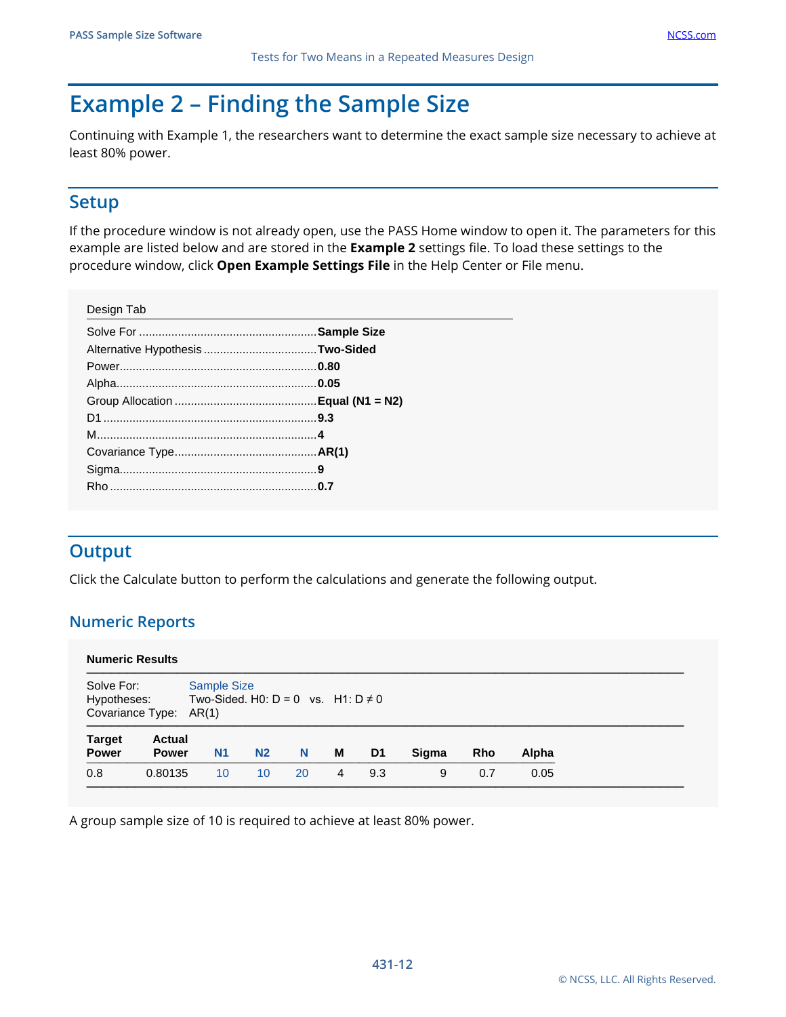# **Example 2 – Finding the Sample Size**

Continuing with Example 1, the researchers want to determine the exact sample size necessary to achieve at least 80% power.

## **Setup**

If the procedure window is not already open, use the PASS Home window to open it. The parameters for this example are listed below and are stored in the **Example 2** settings file. To load these settings to the procedure window, click **Open Example Settings File** in the Help Center or File menu.

| Design Tab |  |
|------------|--|
|            |  |
|            |  |
|            |  |
|            |  |
|            |  |
|            |  |
|            |  |
|            |  |
|            |  |
|            |  |
|            |  |

# **Output**

Click the Calculate button to perform the calculations and generate the following output.

#### **Numeric Reports**

| <b>Numeric Results</b>                                                         |                               |                                                                                            |                 |    |   |                |       |            |       |
|--------------------------------------------------------------------------------|-------------------------------|--------------------------------------------------------------------------------------------|-----------------|----|---|----------------|-------|------------|-------|
| Solve For:<br>Hypotheses:<br>Covariance Type:<br><b>Target</b><br><b>Power</b> | <b>Actual</b><br><b>Power</b> | <b>Sample Size</b><br>Two-Sided, H0: $D = 0$ vs. H1: $D \neq 0$<br>AR(1)<br>N <sub>1</sub> | N <sub>2</sub>  | N  | м | D <sub>1</sub> | Sigma | <b>Rho</b> | Alpha |
| 0.8                                                                            | 0.80135                       | 10                                                                                         | 10 <sup>°</sup> | 20 | 4 | 9.3            | 9     | 0.7        | 0.05  |

A group sample size of 10 is required to achieve at least 80% power.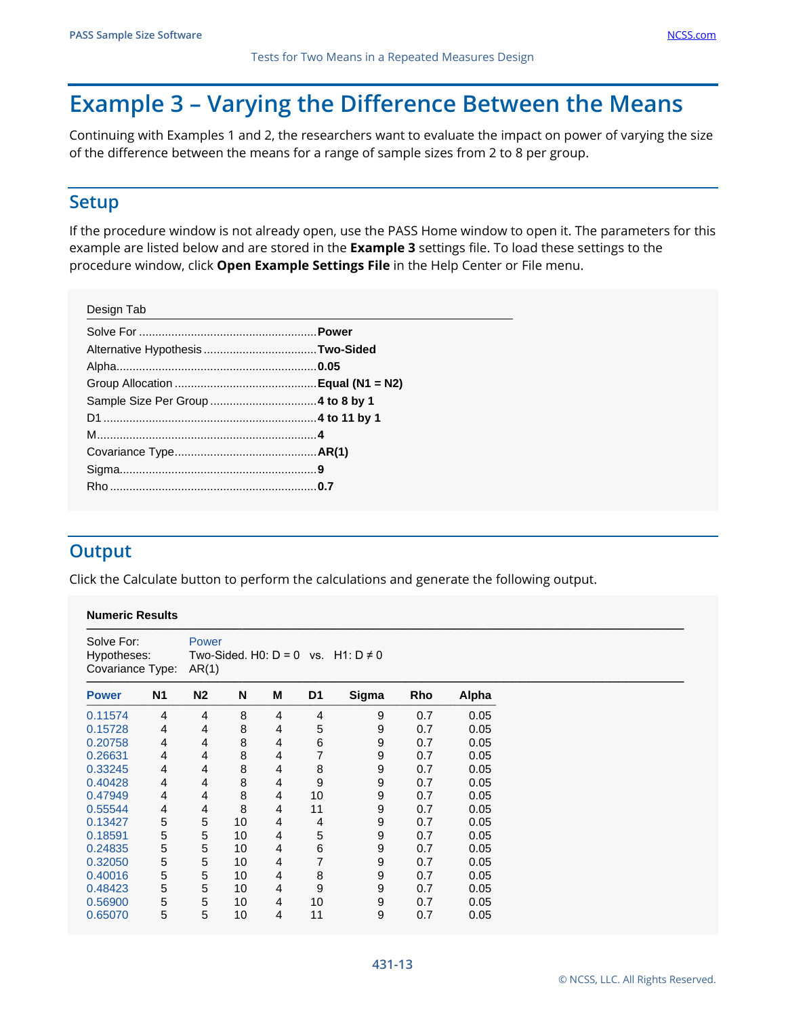# **Example 3 – Varying the Difference Between the Means**

Continuing with Examples 1 and 2, the researchers want to evaluate the impact on power of varying the size of the difference between the means for a range of sample sizes from 2 to 8 per group.

## **Setup**

If the procedure window is not already open, use the PASS Home window to open it. The parameters for this example are listed below and are stored in the **Example 3** settings file. To load these settings to the procedure window, click **Open Example Settings File** in the Help Center or File menu.

| Design Tab |  |
|------------|--|
|            |  |
|            |  |
|            |  |
|            |  |
|            |  |
|            |  |
|            |  |
|            |  |
|            |  |
|            |  |
|            |  |

# **Output**

Click the Calculate button to perform the calculations and generate the following output.

#### **Numeric Results**

| Solve For:<br>Hypotheses:<br>Covariance Type: |                | Power<br>AR(1) |    |                |                | Two-Sided. H0: $D = 0$ vs. H1: $D \neq 0$ |     |       |
|-----------------------------------------------|----------------|----------------|----|----------------|----------------|-------------------------------------------|-----|-------|
| <b>Power</b>                                  | <b>N1</b>      | N <sub>2</sub> | N  | M              | D <sub>1</sub> | Sigma                                     | Rho | Alpha |
| 0.11574                                       | $\overline{4}$ | 4              | 8  | $\overline{4}$ | 4              | 9                                         | 0.7 | 0.05  |
| 0.15728                                       | 4              | 4              | 8  | 4              | 5              | 9                                         | 0.7 | 0.05  |
| 0.20758                                       | $\overline{4}$ | 4              | 8  | 4              | 6              | 9                                         | 0.7 | 0.05  |
| 0.26631                                       | 4              | 4              | 8  | 4              | 7              | 9                                         | 0.7 | 0.05  |
| 0.33245                                       | 4              | 4              | 8  | 4              | 8              | 9                                         | 0.7 | 0.05  |
| 0.40428                                       | $\overline{4}$ | 4              | 8  | $\overline{4}$ | 9              | 9                                         | 0.7 | 0.05  |
| 0.47949                                       | 4              | 4              | 8  | 4              | 10             | 9                                         | 0.7 | 0.05  |
| 0.55544                                       | 4              | 4              | 8  | $\overline{4}$ | 11             | 9                                         | 0.7 | 0.05  |
| 0.13427                                       | 5              | 5              | 10 | $\overline{4}$ | 4              | 9                                         | 0.7 | 0.05  |
| 0.18591                                       | 5              | 5              | 10 | 4              | 5              | 9                                         | 0.7 | 0.05  |
| 0.24835                                       | 5              | $\,$ 5 $\,$    | 10 | $\overline{4}$ | 6              | 9                                         | 0.7 | 0.05  |
| 0.32050                                       | 5              | 5              | 10 | $\overline{4}$ | 7              | 9                                         | 0.7 | 0.05  |
| 0.40016                                       | 5              | 5              | 10 | 4              | 8              | 9                                         | 0.7 | 0.05  |
| 0.48423                                       | 5              | $\,$ 5 $\,$    | 10 | 4              | 9              | 9                                         | 0.7 | 0.05  |
| 0.56900                                       | 5              | 5              | 10 | $\overline{4}$ | 10             | 9                                         | 0.7 | 0.05  |
| 0.65070                                       | 5              | 5              | 10 | 4              | 11             | 9                                         | 0.7 | 0.05  |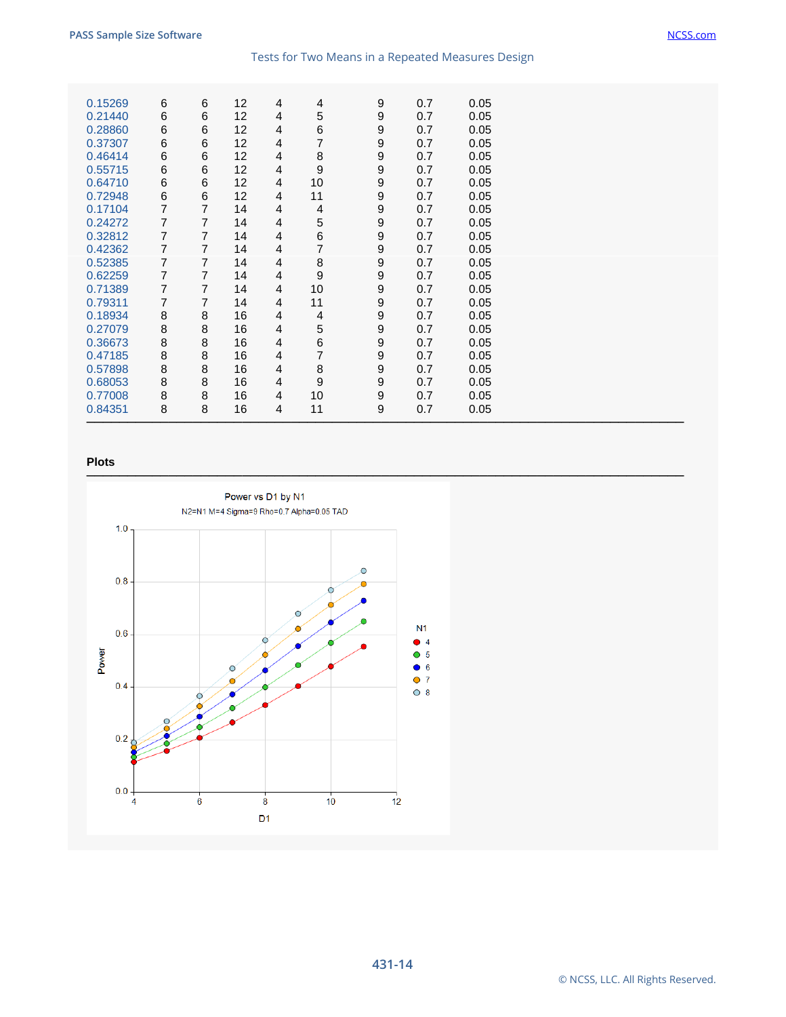| 0.15269 |                |        |                       |                     | 4              |                  |            |              |  |
|---------|----------------|--------|-----------------------|---------------------|----------------|------------------|------------|--------------|--|
| 0.21440 | 6<br>6         | 6<br>6 | 12 <sup>2</sup><br>12 | 4<br>$\overline{4}$ | 5              | 9<br>9           | 0.7<br>0.7 | 0.05<br>0.05 |  |
|         |                | 6      |                       |                     |                |                  |            |              |  |
| 0.28860 | 6              |        | 12                    | 4                   | 6              | 9                | 0.7        | 0.05         |  |
| 0.37307 | 6              | 6      | 12                    | 4                   | 7              | 9                | 0.7        | 0.05         |  |
| 0.46414 | 6              | 6      | 12                    | 4                   | 8              | 9                | 0.7        | 0.05         |  |
| 0.55715 | 6              | 6      | 12                    | 4                   | 9              | 9                | 0.7        | 0.05         |  |
| 0.64710 | 6              | 6      | 12                    | 4                   | 10             | 9                | 0.7        | 0.05         |  |
| 0.72948 | 6              | 6      | 12                    | 4                   | 11             | $\boldsymbol{9}$ | 0.7        | 0.05         |  |
| 0.17104 | 7              | 7      | 14                    | 4                   | 4              | 9                | 0.7        | 0.05         |  |
| 0.24272 | $\overline{7}$ | 7      | 14                    | 4                   | 5              | 9                | 0.7        | 0.05         |  |
| 0.32812 | $\overline{7}$ | 7      | 14                    | 4                   | 6              | 9                | 0.7        | 0.05         |  |
| 0.42362 | $\overline{7}$ | 7      | 14                    | 4                   | $\overline{7}$ | 9                | 0.7        | 0.05         |  |
| 0.52385 | 7              | 7      | 14                    | 4                   | 8              | 9                | 0.7        | 0.05         |  |
| 0.62259 | $\overline{7}$ | 7      | 14                    | 4                   | 9              | $\boldsymbol{9}$ | 0.7        | 0.05         |  |
| 0.71389 | 7              | 7      | 14                    | 4                   | 10             | 9                | 0.7        | 0.05         |  |
| 0.79311 | 7              | 7      | 14                    | 4                   | 11             | 9                | 0.7        | 0.05         |  |
| 0.18934 | 8              | 8      | 16                    | 4                   | 4              | 9                | 0.7        | 0.05         |  |
| 0.27079 | 8              | 8      | 16                    | 4                   | 5              | 9                | 0.7        | 0.05         |  |
| 0.36673 | 8              | 8      | 16                    | 4                   | 6              | 9                | 0.7        | 0.05         |  |
| 0.47185 | $\bf8$         | 8      | 16                    | 4                   | 7              | 9                | 0.7        | 0.05         |  |
| 0.57898 | 8              | 8      | 16                    | 4                   | 8              | 9                | 0.7        | 0.05         |  |
| 0.68053 | $\bf8$         | 8      | 16                    | 4                   | 9              | $\boldsymbol{9}$ | 0.7        | 0.05         |  |
| 0.77008 | $\bf8$         | 8      | 16                    | 4                   | 10             | $\boldsymbol{9}$ | 0.7        | 0.05         |  |
| 0.84351 | $\bf8$         | 8      | 16                    | $\overline{4}$      | 11             | 9                | 0.7        | 0.05         |  |
|         |                |        |                       |                     |                |                  |            |              |  |

#### **Plots**

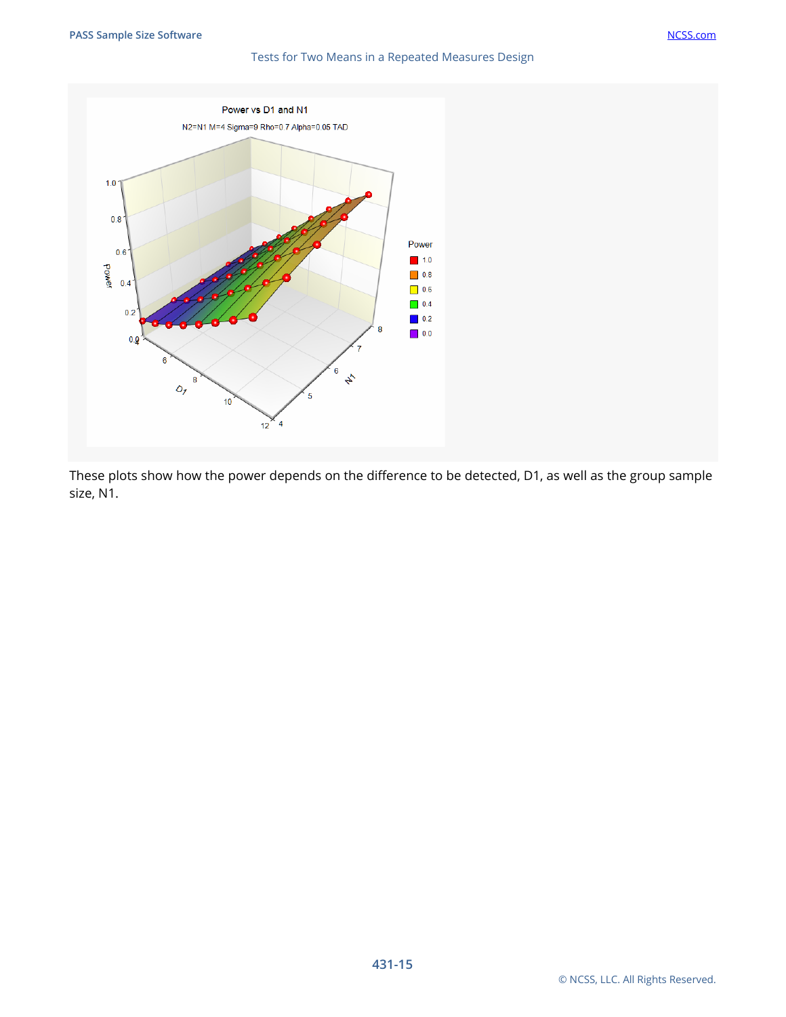

These plots show how the power depends on the difference to be detected, D1, as well as the group sample size, N1.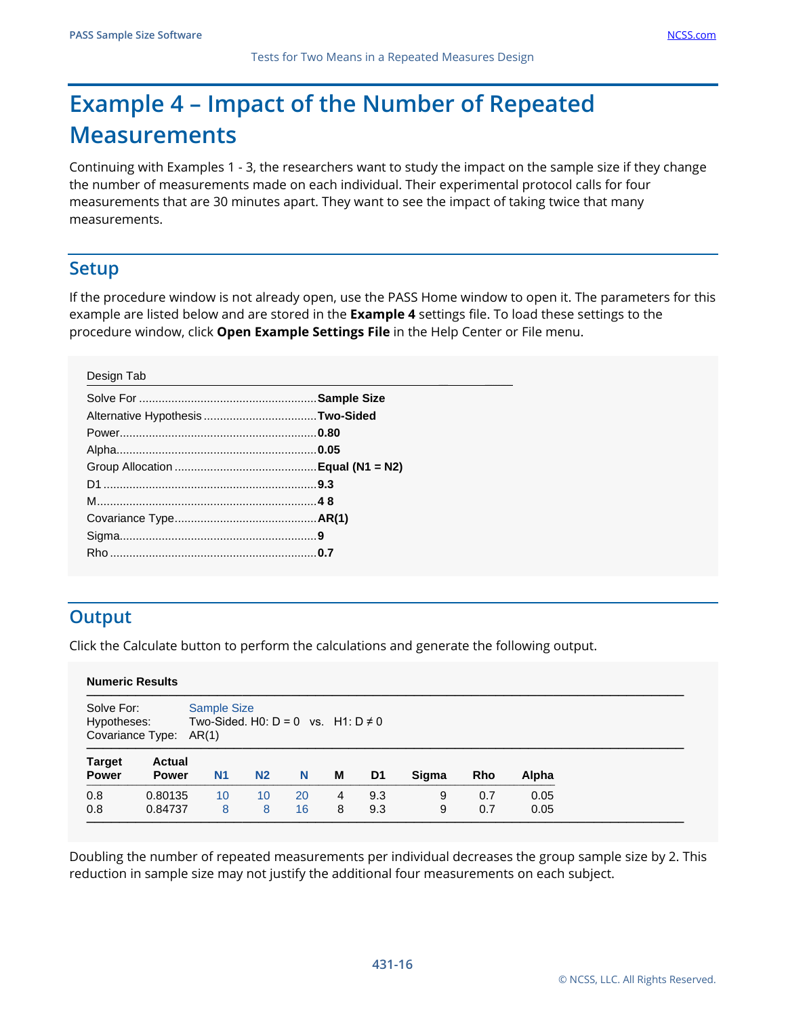# **Example 4 – Impact of the Number of Repeated Measurements**

Continuing with Examples 1 - 3, the researchers want to study the impact on the sample size if they change the number of measurements made on each individual. Their experimental protocol calls for four measurements that are 30 minutes apart. They want to see the impact of taking twice that many measurements.

## **Setup**

If the procedure window is not already open, use the PASS Home window to open it. The parameters for this example are listed below and are stored in the **Example 4** settings file. To load these settings to the procedure window, click **Open Example Settings File** in the Help Center or File menu.

# **Output**

Click the Calculate button to perform the calculations and generate the following output.

|                                                                                                                           |                               |                |                |          | <b>Numeric Results</b> |            |        |            |              |  |  |  |  |  |  |  |  |  |
|---------------------------------------------------------------------------------------------------------------------------|-------------------------------|----------------|----------------|----------|------------------------|------------|--------|------------|--------------|--|--|--|--|--|--|--|--|--|
| <b>Sample Size</b><br>Solve For:<br>Two-Sided, H0: $D = 0$ vs. H1: $D \neq 0$<br>Hypotheses:<br>Covariance Type:<br>AR(1) |                               |                |                |          |                        |            |        |            |              |  |  |  |  |  |  |  |  |  |
| <b>Target</b><br><b>Power</b>                                                                                             | <b>Actual</b><br><b>Power</b> | N <sub>1</sub> | N <sub>2</sub> | N        | м                      | D1         | Sigma  | <b>Rho</b> | Alpha        |  |  |  |  |  |  |  |  |  |
| 0.8<br>0.8                                                                                                                | 0.80135<br>0.84737            | 10<br>8        | 10<br>8        | 20<br>16 | 4<br>8                 | 9.3<br>9.3 | 9<br>9 | 0.7<br>0.7 | 0.05<br>0.05 |  |  |  |  |  |  |  |  |  |

Doubling the number of repeated measurements per individual decreases the group sample size by 2. This reduction in sample size may not justify the additional four measurements on each subject.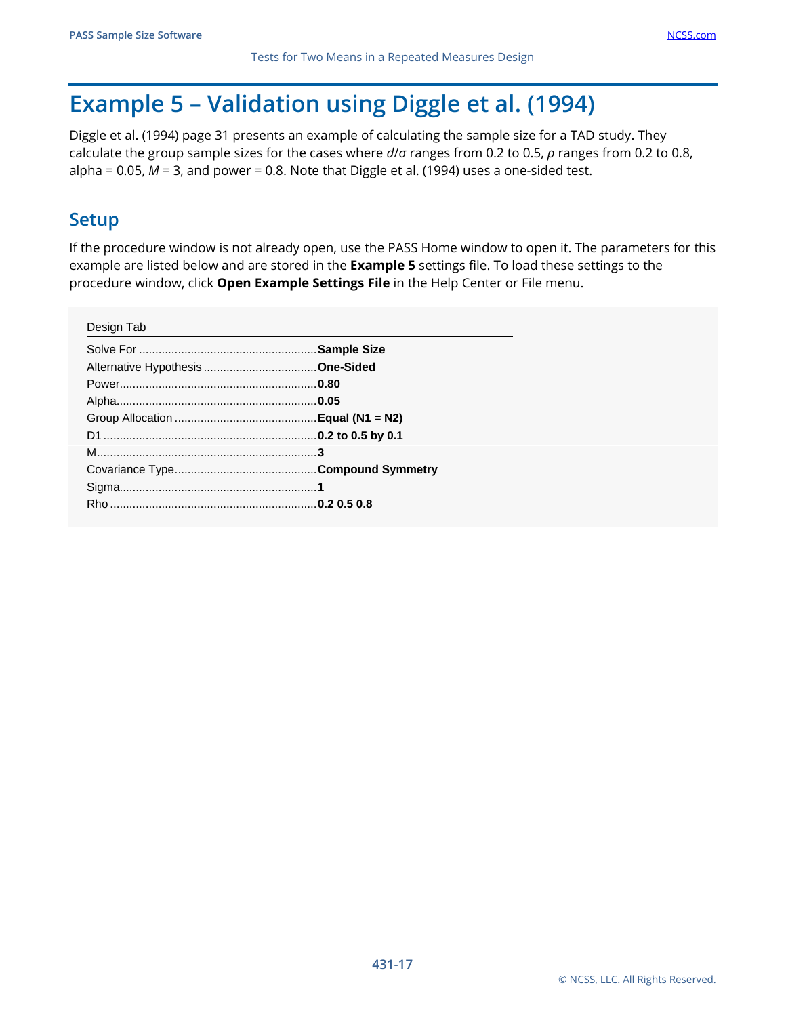# **Example 5 – Validation using Diggle et al. (1994)**

Diggle et al. (1994) page 31 presents an example of calculating the sample size for a TAD study. They calculate the group sample sizes for the cases where *d*/*σ* ranges from 0.2 to 0.5, *ρ* ranges from 0.2 to 0.8, alpha =  $0.05$ ,  $M = 3$ , and power = 0.8. Note that Diggle et al. (1994) uses a one-sided test.

#### **Setup**

If the procedure window is not already open, use the PASS Home window to open it. The parameters for this example are listed below and are stored in the **Example 5** settings file. To load these settings to the procedure window, click **Open Example Settings File** in the Help Center or File menu.

| Design Tab |  |
|------------|--|
|            |  |
|            |  |
|            |  |
|            |  |
|            |  |
|            |  |
|            |  |
|            |  |
|            |  |
|            |  |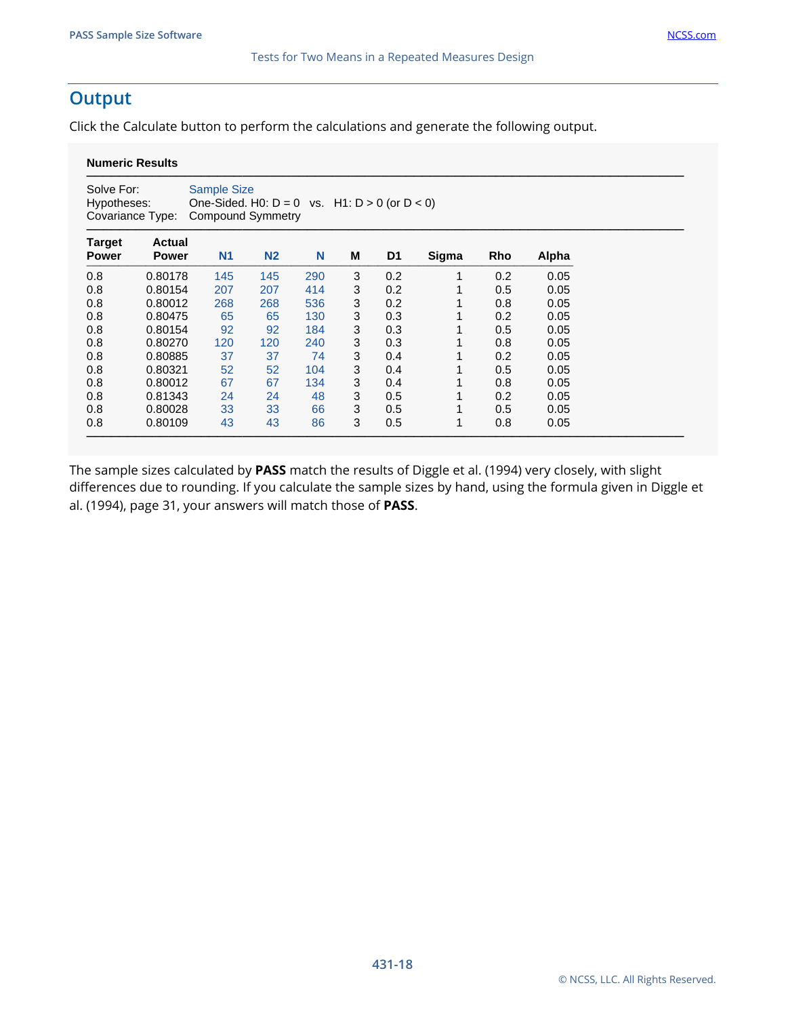## **Output**

Click the Calculate button to perform the calculations and generate the following output.

#### **Numeric Results**

| Solve For:<br>Hypotheses:     | Covariance Type:              | <b>Sample Size</b><br>One-Sided. H0: $D = 0$ vs. H1: $D > 0$ (or $D < 0$ )<br><b>Compound Symmetry</b> |                |     |   |                |       |     |       |
|-------------------------------|-------------------------------|--------------------------------------------------------------------------------------------------------|----------------|-----|---|----------------|-------|-----|-------|
| <b>Target</b><br><b>Power</b> | <b>Actual</b><br><b>Power</b> | N <sub>1</sub>                                                                                         | N <sub>2</sub> | N   | M | D <sub>1</sub> | Sigma | Rho | Alpha |
| 0.8                           | 0.80178                       | 145                                                                                                    | 145            | 290 | 3 | 0.2            |       | 0.2 | 0.05  |
| 0.8                           | 0.80154                       | 207                                                                                                    | 207            | 414 | 3 | 0.2            |       | 0.5 | 0.05  |
| 0.8                           | 0.80012                       | 268                                                                                                    | 268            | 536 | 3 | 0.2            |       | 0.8 | 0.05  |
| 0.8                           | 0.80475                       | 65                                                                                                     | 65             | 130 | 3 | 0.3            |       | 0.2 | 0.05  |
| 0.8                           | 0.80154                       | 92                                                                                                     | 92             | 184 | 3 | 0.3            |       | 0.5 | 0.05  |
| 0.8                           | 0.80270                       | 120                                                                                                    | 120            | 240 | 3 | 0.3            |       | 0.8 | 0.05  |
| 0.8                           | 0.80885                       | 37                                                                                                     | 37             | 74  | 3 | 0.4            |       | 0.2 | 0.05  |
| 0.8                           | 0.80321                       | 52                                                                                                     | 52             | 104 | 3 | 0.4            |       | 0.5 | 0.05  |
| 0.8                           | 0.80012                       | 67                                                                                                     | 67             | 134 | 3 | 0.4            |       | 0.8 | 0.05  |
| 0.8                           | 0.81343                       | 24                                                                                                     | 24             | 48  | 3 | 0.5            |       | 0.2 | 0.05  |
| 0.8                           | 0.80028                       | 33                                                                                                     | 33             | 66  | 3 | 0.5            |       | 0.5 | 0.05  |
| 0.8                           | 0.80109                       | 43                                                                                                     | 43             | 86  | 3 | 0.5            |       | 0.8 | 0.05  |

The sample sizes calculated by **PASS** match the results of Diggle et al. (1994) very closely, with slight differences due to rounding. If you calculate the sample sizes by hand, using the formula given in Diggle et al. (1994), page 31, your answers will match those of **PASS**.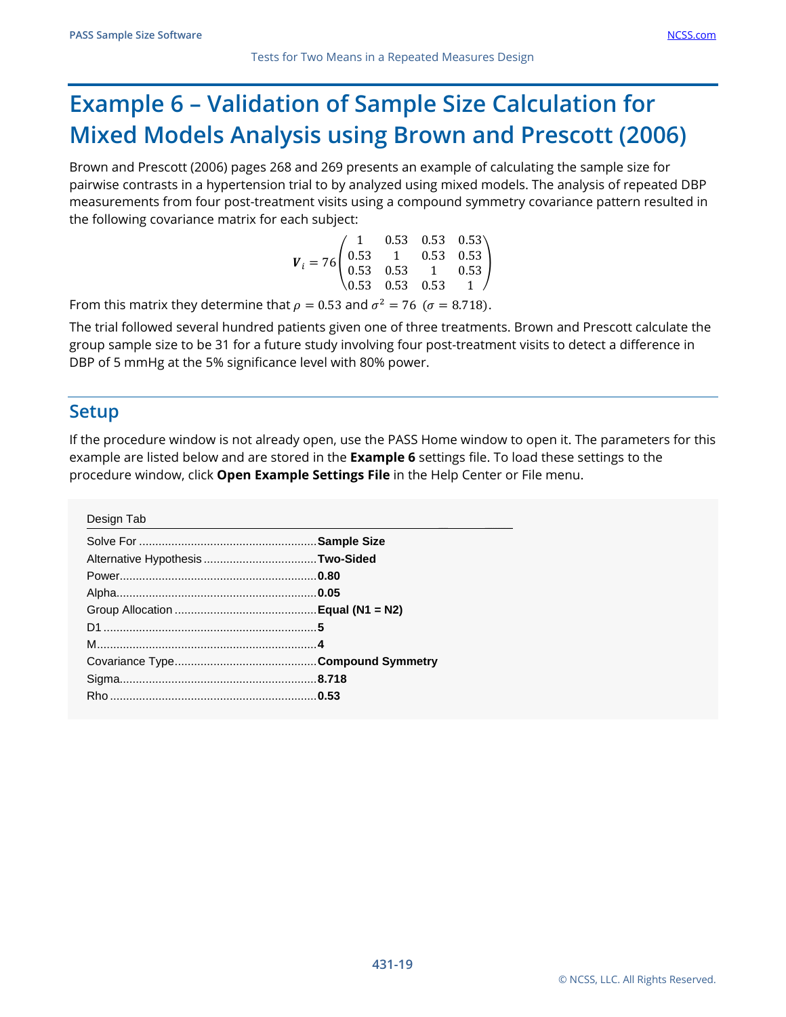# **Example 6 – Validation of Sample Size Calculation for Mixed Models Analysis using Brown and Prescott (2006)**

Brown and Prescott (2006) pages 268 and 269 presents an example of calculating the sample size for pairwise contrasts in a hypertension trial to by analyzed using mixed models. The analysis of repeated DBP measurements from four post-treatment visits using a compound symmetry covariance pattern resulted in the following covariance matrix for each subject:

| $\boldsymbol{V}_i = 76 \begin{pmatrix} 1 & 0.53 & 0.53 & 0.53 \ 0.53 & 1 & 0.53 & 0.53 \ 0.53 & 0.53 & 1 & 0.53 \ 0.53 & 0.53 & 0.53 & 1 \end{pmatrix}$ |  |  |
|---------------------------------------------------------------------------------------------------------------------------------------------------------|--|--|
|                                                                                                                                                         |  |  |
|                                                                                                                                                         |  |  |
|                                                                                                                                                         |  |  |
|                                                                                                                                                         |  |  |

From this matrix they determine that  $\rho = 0.53$  and  $\sigma^2 = 76$  ( $\sigma = 8.718$ ).

The trial followed several hundred patients given one of three treatments. Brown and Prescott calculate the group sample size to be 31 for a future study involving four post-treatment visits to detect a difference in DBP of 5 mmHg at the 5% significance level with 80% power.

#### **Setup**

If the procedure window is not already open, use the PASS Home window to open it. The parameters for this example are listed below and are stored in the **Example 6** settings file. To load these settings to the procedure window, click **Open Example Settings File** in the Help Center or File menu.

Design Tab